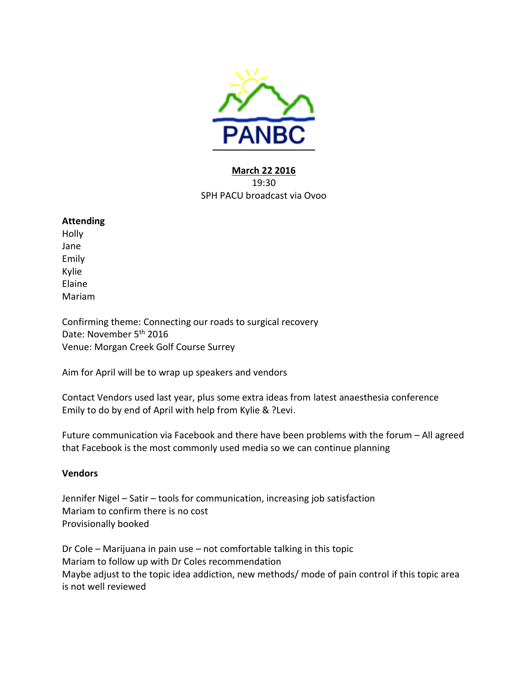

## **March 22 2016** 19:30 SPH PACU broadcast via Ovoo

## **Attending**

Holly Jane Emily Kylie Elaine Mariam

Confirming theme: Connecting our roads to surgical recovery Date: November 5<sup>th</sup> 2016 Venue: Morgan Creek Golf Course Surrey

Aim for April will be to wrap up speakers and vendors

Contact Vendors used last year, plus some extra ideas from latest anaesthesia conference Emily to do by end of April with help from Kylie & ?Levi.

Future communication via Facebook and there have been problems with the forum – All agreed that Facebook is the most commonly used media so we can continue planning

## **Vendors**

Jennifer Nigel – Satir – tools for communication, increasing job satisfaction Mariam to confirm there is no cost Provisionally booked

Dr Cole – Marijuana in pain use – not comfortable talking in this topic Mariam to follow up with Dr Coles recommendation Maybe adjust to the topic idea addiction, new methods/ mode of pain control if this topic area is not well reviewed